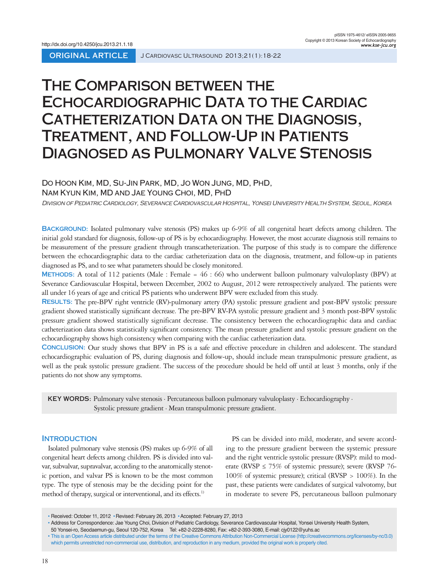# **The Comparison between the Echocardiographic Data to the Cardiac Catheterization Data on the Diagnosis, Treatment, and Follow-Up in Patients Diagnosed as Pulmonary Valve Stenosis**

# Do Hoon Kim, MD, Su-Jin Park, MD, Jo Won Jung, MD, PhD,

## Nam Kyun Kim, MD and Jae Young Choi, MD, PhD

Division of Pediatric Cardiology, Severance Cardiovascular Hospital, Yonsei University Health System, Seoul, Korea

**Background:** Isolated pulmonary valve stenosis (PS) makes up 6-9% of all congenital heart defects among children. The initial gold standard for diagnosis, follow-up of PS is by echocardiography. However, the most accurate diagnosis still remains to be measurement of the pressure gradient through transcatheterization. The purpose of this study is to compare the difference between the echocardiographic data to the cardiac catheterization data on the diagnosis, treatment, and follow-up in patients diagnosed as PS, and to see what parameters should be closely monitored.

**Methods:** A total of 112 patients (Male : Female = 46 : 66) who underwent balloon pulmonary valvuloplasty (BPV) at Severance Cardiovascular Hospital, between December, 2002 to August, 2012 were retrospectively analyzed. The patients were all under 16 years of age and critical PS patients who underwent BPV were excluded from this study.

**Results:** The pre-BPV right ventricle (RV)-pulmonary artery (PA) systolic pressure gradient and post-BPV systolic pressure gradient showed statistically significant decrease. The pre-BPV RV-PA systolic pressure gradient and 3 month post-BPV systolic pressure gradient showed statistically significant decrease. The consistency between the echocardiographic data and cardiac catheterization data shows statistically significant consistency. The mean pressure gradient and systolic pressure gradient on the echocardiography shows high consistency when comparing with the cardiac catheterization data.

**Conclusion:** Our study shows that BPV in PS is a safe and effective procedure in children and adolescent. The standard echocardiographic evaluation of PS, during diagnosis and follow-up, should include mean transpulmonic pressure gradient, as well as the peak systolic pressure gradient. The success of the procedure should be held off until at least 3 months, only if the patients do not show any symptoms.

**KEY WORDS:** Pulmonary valve stenosis · Percutaneous balloon pulmonary valvuloplasty · Echocardiography · Systolic pressure gradient · Mean transpulmonic pressure gradient.

# **INTRODUCTION**

Isolated pulmonary valve stenosis (PS) makes up 6-9% of all congenital heart defects among children. PS is divided into valvar, subvalvar, supravalvar, according to the anatomically stenotic portion, and valvar PS is known to be the most common type. The type of stenosis may be the deciding point for the method of therapy, surgical or interventional, and its effects.<sup>1)</sup>

PS can be divided into mild, moderate, and severe according to the pressure gradient between the systemic pressure and the right ventricle systolic pressure (RVSP): mild to moderate (RVSP  $\leq$  75% of systemic pressure); severe (RVSP 76-100% of systemic pressure); critical (RVSP > 100%). In the past, these patients were candidates of surgical valvotomy, but in moderate to severe PS, percutaneous balloon pulmonary

<sup>•</sup> Received: October 11, 2012 • Revised: February 26, 2013 • Accepted: February 27, 2013

<sup>•</sup> Address for Correspondence: Jae Young Choi, Division of Pediatric Cardiology, Severance Cardiovascular Hospital, Yonsei University Health System, 50 Yonsei-ro, Seodaemun-gu, Seoul 120-752, Korea Tel: +82-2-2228-8280, Fax: +82-2-393-3080, E-mail: cjy0122@yuhs.ac

<sup>•</sup> This is an Open Access article distributed under the terms of the Creative Commons Attribution Non-Commercial License (http://creativecommons.org/licenses/by-nc/3.0) which permits unrestricted non-commercial use, distribution, and reproduction in any medium, provided the original work is properly cited.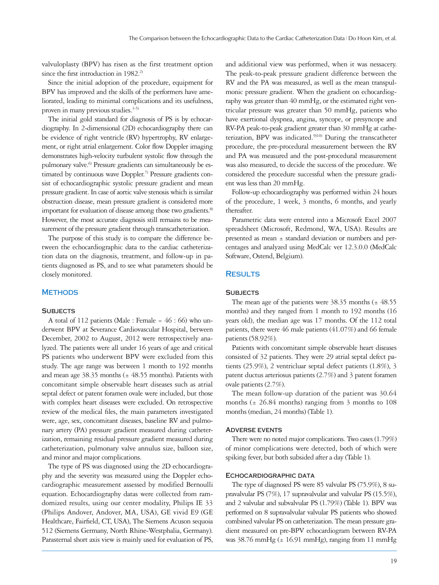valvuloplasty (BPV) has risen as the first treatment option since the first introduction in 1982.<sup>2)</sup>

Since the initial adoption of the procedure, equipment for BPV has improved and the skills of the performers have ameliorated, leading to minimal complications and its usefulness, proven in many previous studies.<sup>3-5)</sup>

The initial gold standard for diagnosis of PS is by echocardiography. In 2-dimensional (2D) echocardiography there can be evidence of right ventricle (RV) hypertrophy, RV enlargement, or right atrial enlargement. Color flow Doppler imaging demonstrates high-velocity turbulent systolic flow through the pulmonary valve.<sup>6)</sup> Pressure gradients can simultaneously be estimated by continuous wave Doppler.<sup>7)</sup> Pressure gradients consist of echocardiographic systolic pressure gradient and mean pressure gradient. In case of aortic valve stenosis which is similar obstruction disease, mean pressure gradient is considered more important for evaluation of disease among those two gradients.<sup>8)</sup> However, the most accurate diagnosis still remains to be measurement of the pressure gradient through transcatheterization.

The purpose of this study is to compare the difference between the echocardiographic data to the cardiac catheterization data on the diagnosis, treatment, and follow-up in patients diagnosed as PS, and to see what parameters should be closely monitored.

### **METHODS**

# **Subjects**

A total of 112 patients (Male : Female =  $46:66$ ) who underwent BPV at Severance Cardiovascular Hospital, between December, 2002 to August, 2012 were retrospectively analyzed. The patients were all under 16 years of age and critical PS patients who underwent BPV were excluded from this study. The age range was between 1 month to 192 months and mean age  $38.35$  months ( $\pm$  48.55 months). Patients with concomitant simple observable heart diseases such as atrial septal defect or patent foramen ovale were included, but those with complex heart diseases were excluded. On retrospective review of the medical files, the main parameters investigated were, age, sex, concomitant diseases, baseline RV and pulmonary artery (PA) pressure gradient measured during catheterization, remaining residual pressure gradient measured during catheterization, pulmonary valve annulus size, balloon size, and minor and major complications.

The type of PS was diagnosed using the 2D echocardiography and the severity was measured using the Doppler echocardiographic measurement assessed by modified Bernoulli equation. Echocardiography datas were collected from ramdomized results, using our center modality, Philips IE 33 (Philips Andover, Andover, MA, USA), GE vivid E9 (GE Healthcare, Fairfield, CT, USA), The Siemens Acuson sequoia 512 (Siemens Germany, North Rhine-Westphalia, Germany). Parasternal short axis view is mainly used for evaluation of PS, and additional view was performed, when it was nessacery. The peak-to-peak pressure gradient difference between the RV and the PA was measured, as well as the mean transpulmonic pressure gradient. When the gradient on echocardiography was greater than 40 mmHg, or the estimated right ventricular pressure was greater than 50 mmHg, patients who have exertional dyspnea, angina, syncope, or presyncope and RV-PA peak-to-peak gradient greater than 30 mmHg at catheterization, BPV was indicated.<sup>9)10)</sup> During the transcatheter procedure, the pre-procedural measurement between the RV and PA was measured and the post-procedural measurement was also measured, to decide the success of the procedure. We considered the procedure successful when the pressure gradient was less than 20 mmHg.

Follow-up echocardiography was performed within 24 hours of the procedure, 1 week, 3 months, 6 months, and yearly thereafter.

Parametric data were entered into a Microsoft Excel 2007 spreadsheet (Microsoft, Redmond, WA, USA). Results are presented as mean ± standard deviation or numbers and percentages and analyzed using MedCalc ver 12.3.0.0 (MedCalc Software, Ostend, Belgium).

# **Results**

#### **Subjects**

The mean age of the patients were  $38.35$  months ( $\pm$  48.55 months) and they ranged from 1 month to 192 months (16 years old), the median age was 17 months. Of the 112 total patients, there were 46 male patients (41.07%) and 66 female patients (58.92%).

Patients with concomitant simple observable heart diseases consisted of 32 patients. They were 29 atrial septal defect patients (25.9%), 2 ventricluar septal defect patients (1.8%), 3 patent ductus arteriosus patients (2.7%) and 3 patent foramen ovale patients (2.7%).

The mean follow-up duration of the patient was 30.64 months ( $\pm$  26.84 months) ranging from 3 months to 108 months (median, 24 months) (Table 1).

#### **Adverse events**

There were no noted major complications. Two cases (1.79%) of minor complications were detected, both of which were spiking fever, but both subsided after a day (Table 1).

#### **Echocardiographic data**

The type of diagnosed PS were 85 valvular PS (75.9%), 8 supravalvular PS (7%), 17 supravalvular and valvular PS (15.5%), and 2 valvular and subvalvular PS (1.79%) (Table 1). BPV was performed on 8 supravalvular valvular PS patients who showed combined valvular PS on catheterization. The mean pressure gradient measured on pre-BPV echocardiogram between RV-PA was 38.76 mmHg  $(\pm 16.91 \text{ mmHg})$ , ranging from 11 mmHg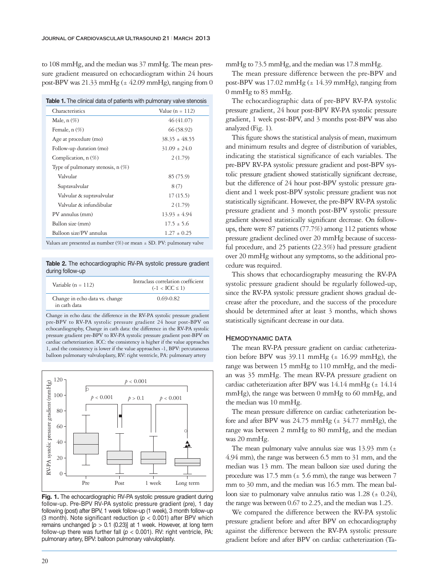to 108 mmHg, and the median was 37 mmHg. The mean pressure gradient measured on echocardiogram within 24 hours post-BPV was 21.33 mmHg ( $\pm$  42.09 mmHg), ranging from 0

|  |  |  |  |  |  |  |  | <b>Table 1.</b> The clinical data of patients with pulmonary valve stenosis |
|--|--|--|--|--|--|--|--|-----------------------------------------------------------------------------|
|--|--|--|--|--|--|--|--|-----------------------------------------------------------------------------|

| Characteristics                     | Value ( $n = 112$ ) |
|-------------------------------------|---------------------|
| Male, $n(\%)$                       | 46 (41.07)          |
| Female, $n(\%)$                     | 66 (58.92)          |
| Age at procedure (mo)               | $38.35 \pm 48.55$   |
| Follow-up duration (mo)             | $31.09 \pm 24.0$    |
| Complication, $n(\%)$               | 2(1.79)             |
| Type of pulmonary stenosis, $n(\%)$ |                     |
| Valvular                            | 85 (75.9)           |
| Supravalvular                       | 8(7)                |
| Valvular & supravalvular            | 17(15.5)            |
| Valvular & infundibular             | 2(1.79)             |
| PV annulus (mm)                     | $13.93 \pm 4.94$    |
| Ballon size (mm)                    | $17.5 + 5.6$        |
| Balloon size/PV annulus             | $1.27 + 0.25$       |

Values are presented as number (%) or mean  $\pm$  SD. PV: pulmonary valve

**Table 2.** The echocardiographic RV-PA systolic pressure gradient during follow-up

| Variable $(n = 112)$                           | Intraclass correlation coefficient<br>$(-1 < ICC \le 1)$ |
|------------------------------------------------|----------------------------------------------------------|
| Change in echo data vs. change<br>in cath data | $0.69 - 0.82$                                            |

Change in echo data: the difference in the RV-PA systolic pressure gradient pre-BPV to RV-PA systolic pressure gradient 24 hour post-BPV on echocardiography, Change in cath data: the difference in the RV-PA systolic pressure gradient pre-BPV to RV-PA systolic pressure gradient post-BPV on cardiac catheterization. ICC: the consistency is higher if the value approaches 1, and the consistency is lower if the value approaches -1, BPV: percutaneous balloon pulmonary valvuloplasty, RV: right ventricle, PA: pulmonary artery



**Fig. 1.** The echocardiographic RV-PA systolic pressure gradient during follow-up. Pre-BPV RV-PA systolic pressure gradient (pre), 1 day following (post) after BPV, 1 week follow-up (1 week), 3 month follow-up (3 month). Note significant reduction (*p* < 0.001) after BPV which remains unchanged [*p* > 0.1 (0.23)] at 1 week. However, at long term follow-up there was further fall ( $p < 0.001$ ). RV: right ventricle, PA: pulmonary artery, BPV: balloon pulmonary valvuloplasty.

mmHg to 73.5 mmHg, and the median was 17.8 mmHg.

The mean pressure difference between the pre-BPV and post-BPV was 17.02 mmHg  $(\pm 14.39 \text{ mmHg})$ , ranging from 0 mmHg to 83 mmHg.

The echocardiographic data of pre-BPV RV-PA systolic pressure gradient, 24 hour post-BPV RV-PA systolic pressure gradient, 1 week post-BPV, and 3 months post-BPV was also analyzed (Fig. 1).

This figure shows the statistical analysis of mean, maximum and minimum results and degree of distribution of variables, indicating the statistical significance of each variables. The pre-BPV RV-PA systolic pressure gradient and post-BPV systolic pressure gradient showed statistically significant decrease, but the difference of 24 hour post-BPV systolic pressure gradient and 1 week post-BPV systolic pressure gradient was not statistically significant. However, the pre-BPV RV-PA systolic pressure gradient and 3 month post-BPV systolic pressure gradient showed statistically significant decrease. On followups, there were 87 patients (77.7%) among 112 patients whose pressure gradient declined over 20 mmHg because of successful procedure, and 25 patients (22.3%) had pressure gradient over 20 mmHg without any symptoms, so the additional procedure was required.

This shows that echocardiography measuring the RV-PA systolic pressure gradient should be regularly followed-up, since the RV-PA systolic pressure gradient shows gradual decrease after the procedure, and the success of the procedure should be determined after at least 3 months, which shows statistically significant decrease in our data.

#### **Hemodynamic data**

The mean RV-PA pressure gradient on cardiac catheterization before BPV was  $39.11$  mmHg ( $\pm$  16.99 mmHg), the range was between 15 mmHg to 110 mmHg, and the median was 35 mmHg. The mean RV-PA pressure gradient on cardiac catheterization after BPV was  $14.14$  mmHg ( $\pm$  14.14 mmHg), the range was between 0 mmHg to 60 mmHg, and the median was 10 mmHg.

The mean pressure difference on cardiac catheterization before and after BPV was  $24.75$  mmHg ( $\pm$  34.77 mmHg), the range was between 2 mmHg to 80 mmHg, and the median was 20 mmHg.

The mean pulmonary valve annulus size was  $13.93$  mm ( $\pm$ 4.94 mm), the range was between 6.5 mm to 31 mm, and the median was 13 mm. The mean balloon size used during the procedure was 17.5 mm ( $\pm$  5.6 mm), the range was between 7 mm to 30 mm, and the median was 16.5 mm. The mean balloon size to pulmonary valve annulus ratio was  $1.28 \ (\pm 0.24)$ , the range was between 0.67 to 2.25, and the median was 1.25.

We compared the difference between the RV-PA systolic pressure gradient before and after BPV on echocardiography against the difference between the RV-PA systolic pressure gradient before and after BPV on cardiac catheterization (Ta-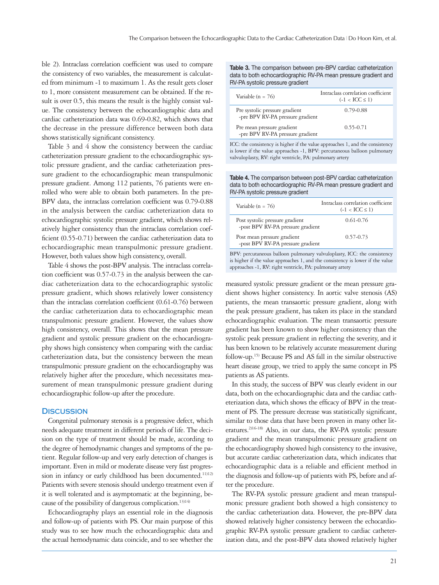ble 2). Intraclass correlation coefficient was used to compare the consistency of two variables, the measurement is calculated from minimum -1 to maximum 1. As the result gets closer to 1, more consistent measurement can be obtained. If the result is over 0.5, this means the result is the highly consist value. The consistency between the echocardiographic data and cardiac catheterization data was 0.69-0.82, which shows that the decrease in the pressure difference between both data shows statistically significant consistency.

Table 3 and 4 show the consistency between the cardiac catheterization pressure gradient to the echocardiographic systolic pressure gradient, and the cardiac catheterization pressure gradient to the echocardiographic mean transpulmonic pressure gradient. Among 112 patients, 76 patients were enrolled who were able to obtain both parameters. In the pre-BPV data, the intraclass correlation coefficient was 0.79-0.88 in the analysis between the cardiac catheterization data to echocardiographic systolic pressure gradient, which shows relatively higher consistency than the intraclass correlation coefficient (0.55-0.71) between the cardiac catheterization data to echocardiographic mean transpulmonic pressure gradient. However, both values show high consistency, overall.

Table 4 shows the post-BPV analysis. The intraclass correlation coefficient was 0.57-0.73 in the analysis between the cardiac catheterization data to the echocardiographic systolic pressure gradient, which shows relatively lower consistency than the intraclass correlation coefficient (0.61-0.76) between the cardiac catheterization data to echocardiographic mean transpulmonic pressure gradient. However, the values show high consistency, overall. This shows that the mean pressure gradient and systolic pressure gradient on the echocardiography shows high consistency when comparing with the cardiac catheterization data, but the consistency between the mean transpulmonic pressure gradient on the echocardiography was relatively higher after the procedure, which necessitates measurement of mean transpulmonic pressure gradient during echocardiographic follow-up after the procedure.

#### **Discussion**

Congenital pulmonary stenosis is a progressive defect, which needs adequate treatment in different periods of life. The decision on the type of treatment should be made, according to the degree of hemodynamic changes and symptoms of the patient. Regular follow-up and very early detection of changes is important. Even in mild or moderate disease very fast progression in infancy or early childhood has been documented.<sup>11)12)</sup> Patients with severe stenosis should undergo treatment even if it is well tolerated and is asymptomatic at the beginning, because of the possibility of dangerous complication.<sup>13)14)</sup>

Echocardiography plays an essential role in the diagnosis and follow-up of patients with PS. Our main purpose of this study was to see how much the echocardiographic data and the actual hemodynamic data coincide, and to see whether the **Table 3.** The comparison between pre-BPV cardiac catheterization data to both echocardiographic RV-PA mean pressure gradient and RV-PA systolic pressure gradient

| Variable ( $n = 76$ )                                              | Intraclass correlation coefficient<br>$(-1 < ICC \le 1)$ |
|--------------------------------------------------------------------|----------------------------------------------------------|
| Pre systolic pressure gradient<br>-pre BPV RV-PA pressure gradient | $0.79 - 0.88$                                            |
| Pre mean pressure gradient<br>-pre BPV RV-PA pressure gradient     | $0.55 - 0.71$                                            |

ICC: the consistency is higher if the value approaches 1, and the consistency is lower if the value approaches -1, BPV: percutaneous balloon pulmonary valvuloplasty, RV: right ventricle, PA: pulmonary artery

**Table 4.** The comparison between post-BPV cardiac catheterization data to both echocardiographic RV-PA mean pressure gradient and RV-PA systolic pressure gradient

| Variable ( $n = 76$ )                                                   | Intraclass correlation coefficient<br>$(-1 < ICC \le 1)$ |  |  |
|-------------------------------------------------------------------------|----------------------------------------------------------|--|--|
| Post systolic pressure gradient<br>-post BPV RV-PA pressure gradient    | $0.61 - 0.76$                                            |  |  |
| Post mean pressure gradient<br>-post BPV RV-PA pressure gradient        | $0.57 - 0.73$                                            |  |  |
| BPV: percutaneous balloon pulmonary valvuloplasty, ICC: the consistency |                                                          |  |  |

is higher if the value approaches 1, and the consistency is lower if the value approaches -1, RV: right ventricle, PA: pulmonary artery

measured systolic pressure gradient or the mean pressure gradient shows higher consistency. In aortic valve stenosis (AS) patients, the mean transaortic pressure gradient, along with the peak pressure gradient, has taken its place in the standard echocardiographic evaluation. The mean transaortic pressure gradient has been known to show higher consistency than the systolic peak pressure gradient in reflecting the severity, and it has been known to be relatively accurate measurement during follow-up.15) Because PS and AS fall in the similar obstructive heart disease group, we tried to apply the same concept in PS patients as AS patients.

In this study, the success of BPV was clearly evident in our data, both on the echocardiographic data and the cardiac catheterization data, which shows the efficacy of BPV in the treatment of PS. The pressure decrease was statistically significant, similar to those data that have been proven in many other literatures.<sup>2)16-18)</sup> Also, in our data, the RV-PA systolic pressure gradient and the mean transpulmonic pressure gradient on the echocardiography showed high consistency to the invasive, but accurate cardiac catheterization data, which indicates that echocardiographic data is a reliable and efficient method in the diagnosis and follow-up of patients with PS, before and after the procedure.

The RV-PA systolic pressure gradient and mean transpulmonic pressure gradient both showed a high consistency to the cardiac catheterization data. However, the pre-BPV data showed relatively higher consistency between the echocardiographic RV-PA systolic pressure gradient to cardiac catheterization data, and the post-BPV data showed relatively higher